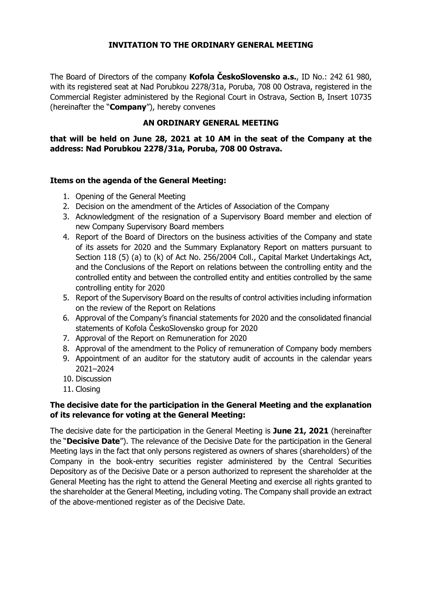## **INVITATION TO THE ORDINARY GENERAL MEETING**

The Board of Directors of the company **Kofola ČeskoSlovensko a.s.**, ID No.: 242 61 980, with its registered seat at Nad Porubkou 2278/31a, Poruba, 708 00 Ostrava, registered in the Commercial Register administered by the Regional Court in Ostrava, Section B, Insert 10735 (hereinafter the "**Company**"), hereby convenes

# **AN ORDINARY GENERAL MEETING**

**that will be held on June 28, 2021 at 10 AM in the seat of the Company at the address: Nad Porubkou 2278/31a, Poruba, 708 00 Ostrava.** 

## **Items on the agenda of the General Meeting:**

- 1. Opening of the General Meeting
- 2. Decision on the amendment of the Articles of Association of the Company
- 3. Acknowledgment of the resignation of a Supervisory Board member and election of new Company Supervisory Board members
- 4. Report of the Board of Directors on the business activities of the Company and state of its assets for 2020 and the Summary Explanatory Report on matters pursuant to Section 118 (5) (a) to (k) of Act No. 256/2004 Coll., Capital Market Undertakings Act, and the Conclusions of the Report on relations between the controlling entity and the controlled entity and between the controlled entity and entities controlled by the same controlling entity for 2020
- 5. Report of the Supervisory Board on the results of control activities including information on the review of the Report on Relations
- 6. Approval of the Company's financial statements for 2020 and the consolidated financial statements of Kofola ČeskoSlovensko group for 2020
- 7. Approval of the Report on Remuneration for 2020
- 8. Approval of the amendment to the Policy of remuneration of Company body members
- 9. Appointment of an auditor for the statutory audit of accounts in the calendar years 2021–2024
- 10. Discussion
- 11. Closing

## **The decisive date for the participation in the General Meeting and the explanation of its relevance for voting at the General Meeting:**

The decisive date for the participation in the General Meeting is **June 21, 2021** (hereinafter the "**Decisive Date**"). The relevance of the Decisive Date for the participation in the General Meeting lays in the fact that only persons registered as owners of shares (shareholders) of the Company in the book-entry securities register administered by the Central Securities Depository as of the Decisive Date or a person authorized to represent the shareholder at the General Meeting has the right to attend the General Meeting and exercise all rights granted to the shareholder at the General Meeting, including voting. The Company shall provide an extract of the above-mentioned register as of the Decisive Date.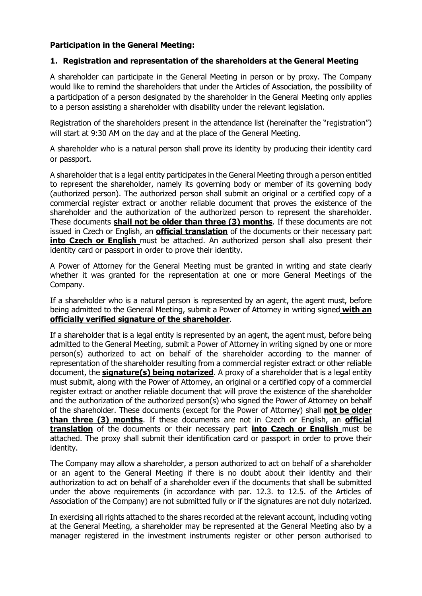## **Participation in the General Meeting:**

#### **1. Registration and representation of the shareholders at the General Meeting**

A shareholder can participate in the General Meeting in person or by proxy. The Company would like to remind the shareholders that under the Articles of Association, the possibility of a participation of a person designated by the shareholder in the General Meeting only applies to a person assisting a shareholder with disability under the relevant legislation.

Registration of the shareholders present in the attendance list (hereinafter the "registration") will start at 9:30 AM on the day and at the place of the General Meeting.

A shareholder who is a natural person shall prove its identity by producing their identity card or passport.

A shareholder that is a legal entity participates in the General Meeting through a person entitled to represent the shareholder, namely its governing body or member of its governing body (authorized person). The authorized person shall submit an original or a certified copy of a commercial register extract or another reliable document that proves the existence of the shareholder and the authorization of the authorized person to represent the shareholder. These documents **shall not be older than three (3) months**. If these documents are not issued in Czech or English, an **official translation** of the documents or their necessary part **into Czech or English** must be attached. An authorized person shall also present their identity card or passport in order to prove their identity.

A Power of Attorney for the General Meeting must be granted in writing and state clearly whether it was granted for the representation at one or more General Meetings of the Company.

If a shareholder who is a natural person is represented by an agent, the agent must, before being admitted to the General Meeting, submit a Power of Attorney in writing signed **with an officially verified signature of the shareholder**.

If a shareholder that is a legal entity is represented by an agent, the agent must, before being admitted to the General Meeting, submit a Power of Attorney in writing signed by one or more person(s) authorized to act on behalf of the shareholder according to the manner of representation of the shareholder resulting from a commercial register extract or other reliable document, the **signature(s) being notarized**. A proxy of a shareholder that is a legal entity must submit, along with the Power of Attorney, an original or a certified copy of a commercial register extract or another reliable document that will prove the existence of the shareholder and the authorization of the authorized person(s) who signed the Power of Attorney on behalf of the shareholder. These documents (except for the Power of Attorney) shall **not be older than three (3) months**. If these documents are not in Czech or English, an **official translation** of the documents or their necessary part **into Czech or English** must be attached. The proxy shall submit their identification card or passport in order to prove their identity.

The Company may allow a shareholder, a person authorized to act on behalf of a shareholder or an agent to the General Meeting if there is no doubt about their identity and their authorization to act on behalf of a shareholder even if the documents that shall be submitted under the above requirements (in accordance with par. 12.3. to 12.5. of the Articles of Association of the Company) are not submitted fully or if the signatures are not duly notarized.

In exercising all rights attached to the shares recorded at the relevant account, including voting at the General Meeting, a shareholder may be represented at the General Meeting also by a manager registered in the investment instruments register or other person authorised to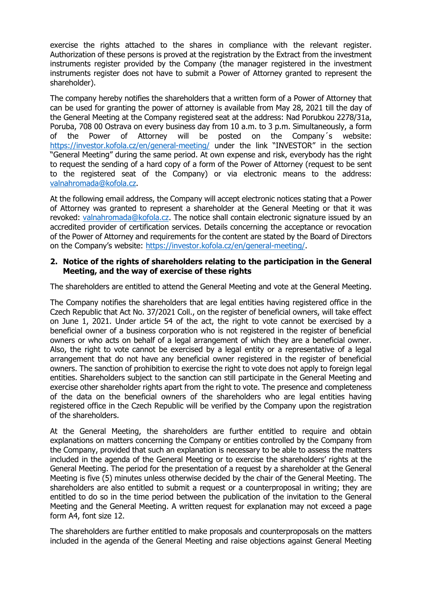exercise the rights attached to the shares in compliance with the relevant register. Authorization of these persons is proved at the registration by the Extract from the investment instruments register provided by the Company (the manager registered in the investment instruments register does not have to submit a Power of Attorney granted to represent the shareholder).

The company hereby notifies the shareholders that a written form of a Power of Attorney that can be used for granting the power of attorney is available from May 28, 2021 till the day of the General Meeting at the Company registered seat at the address: Nad Porubkou 2278/31a, Poruba, 708 00 Ostrava on every business day from 10 a.m. to 3 p.m. Simultaneously, a form of the Power of Attorney will be posted on the Company´s website: <https://investor.kofola.cz/en/general-meeting/> under the link "INVESTOR" in the section "General Meeting" during the same period. At own expense and risk, everybody has the right to request the sending of a hard copy of a form of the Power of Attorney (request to be sent to the registered seat of the Company) or via electronic means to the address: [valnahromada@kofola.cz.](mailto:valnahromada@kofola.cz)

At the following email address, the Company will accept electronic notices stating that a Power of Attorney was granted to represent a shareholder at the General Meeting or that it was revoked: [valnahromada@kofola.cz.](mailto:valnahromada@kofola.cz) The notice shall contain electronic signature issued by an accredited provider of certification services. Details concerning the acceptance or revocation of the Power of Attorney and requirements for the content are stated by the Board of Directors on the Company's website: [https://investor.kofola.cz/en/general-meeting/.](https://investor.kofola.cz/en/general-meeting/)

### **2. Notice of the rights of shareholders relating to the participation in the General Meeting, and the way of exercise of these rights**

The shareholders are entitled to attend the General Meeting and vote at the General Meeting.

The Company notifies the shareholders that are legal entities having registered office in the Czech Republic that Act No. 37/2021 Coll., on the register of beneficial owners, will take effect on June 1, 2021. Under article 54 of the act, the right to vote cannot be exercised by a beneficial owner of a business corporation who is not registered in the register of beneficial owners or who acts on behalf of a legal arrangement of which they are a beneficial owner. Also, the right to vote cannot be exercised by a legal entity or a representative of a legal arrangement that do not have any beneficial owner registered in the register of beneficial owners. The sanction of prohibition to exercise the right to vote does not apply to foreign legal entities. Shareholders subject to the sanction can still participate in the General Meeting and exercise other shareholder rights apart from the right to vote. The presence and completeness of the data on the beneficial owners of the shareholders who are legal entities having registered office in the Czech Republic will be verified by the Company upon the registration of the shareholders.

At the General Meeting, the shareholders are further entitled to require and obtain explanations on matters concerning the Company or entities controlled by the Company from the Company, provided that such an explanation is necessary to be able to assess the matters included in the agenda of the General Meeting or to exercise the shareholders' rights at the General Meeting. The period for the presentation of a request by a shareholder at the General Meeting is five (5) minutes unless otherwise decided by the chair of the General Meeting. The shareholders are also entitled to submit a request or a counterproposal in writing; they are entitled to do so in the time period between the publication of the invitation to the General Meeting and the General Meeting. A written request for explanation may not exceed a page form A4, font size 12.

The shareholders are further entitled to make proposals and counterproposals on the matters included in the agenda of the General Meeting and raise objections against General Meeting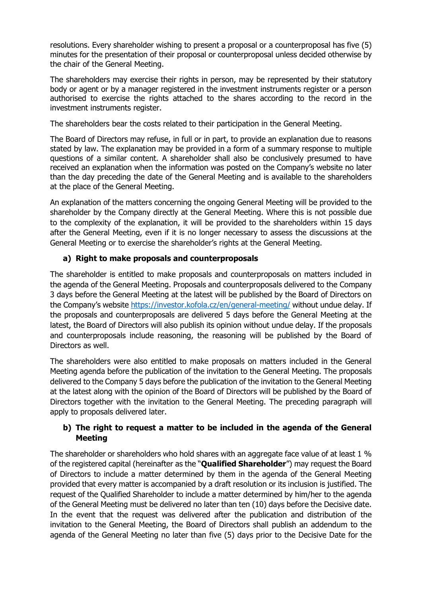resolutions. Every shareholder wishing to present a proposal or a counterproposal has five (5) minutes for the presentation of their proposal or counterproposal unless decided otherwise by the chair of the General Meeting.

The shareholders may exercise their rights in person, may be represented by their statutory body or agent or by a manager registered in the investment instruments register or a person authorised to exercise the rights attached to the shares according to the record in the investment instruments register.

The shareholders bear the costs related to their participation in the General Meeting.

The Board of Directors may refuse, in full or in part, to provide an explanation due to reasons stated by law. The explanation may be provided in a form of a summary response to multiple questions of a similar content. A shareholder shall also be conclusively presumed to have received an explanation when the information was posted on the Company's website no later than the day preceding the date of the General Meeting and is available to the shareholders at the place of the General Meeting.

An explanation of the matters concerning the ongoing General Meeting will be provided to the shareholder by the Company directly at the General Meeting. Where this is not possible due to the complexity of the explanation, it will be provided to the shareholders within 15 days after the General Meeting, even if it is no longer necessary to assess the discussions at the General Meeting or to exercise the shareholder's rights at the General Meeting.

## **a) Right to make proposals and counterproposals**

The shareholder is entitled to make proposals and counterproposals on matters included in the agenda of the General Meeting. Proposals and counterproposals delivered to the Company 3 days before the General Meeting at the latest will be published by the Board of Directors on the Company's website <https://investor.kofola.cz/en/general-meeting/> without undue delay. If the proposals and counterproposals are delivered 5 days before the General Meeting at the latest, the Board of Directors will also publish its opinion without undue delay. If the proposals and counterproposals include reasoning, the reasoning will be published by the Board of Directors as well.

The shareholders were also entitled to make proposals on matters included in the General Meeting agenda before the publication of the invitation to the General Meeting. The proposals delivered to the Company 5 days before the publication of the invitation to the General Meeting at the latest along with the opinion of the Board of Directors will be published by the Board of Directors together with the invitation to the General Meeting. The preceding paragraph will apply to proposals delivered later.

# **b) The right to request a matter to be included in the agenda of the General Meeting**

The shareholder or shareholders who hold shares with an aggregate face value of at least 1 % of the registered capital (hereinafter as the "**Qualified Shareholder**") may request the Board of Directors to include a matter determined by them in the agenda of the General Meeting provided that every matter is accompanied by a draft resolution or its inclusion is justified. The request of the Qualified Shareholder to include a matter determined by him/her to the agenda of the General Meeting must be delivered no later than ten (10) days before the Decisive date. In the event that the request was delivered after the publication and distribution of the invitation to the General Meeting, the Board of Directors shall publish an addendum to the agenda of the General Meeting no later than five (5) days prior to the Decisive Date for the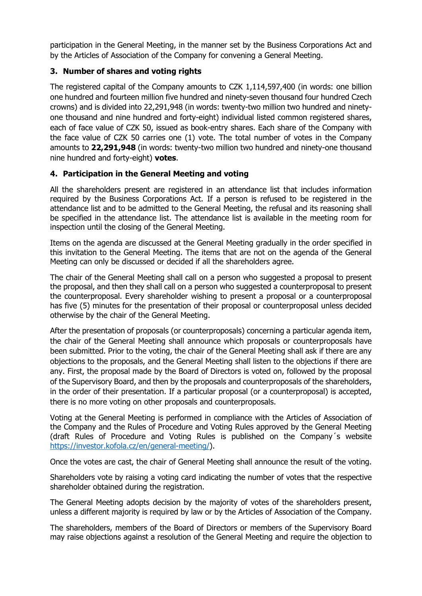participation in the General Meeting, in the manner set by the Business Corporations Act and by the Articles of Association of the Company for convening a General Meeting.

# **3. Number of shares and voting rights**

The registered capital of the Company amounts to CZK 1,114,597,400 (in words: one billion one hundred and fourteen million five hundred and ninety-seven thousand four hundred Czech crowns) and is divided into 22,291,948 (in words: twenty-two million two hundred and ninetyone thousand and nine hundred and forty-eight) individual listed common registered shares, each of face value of CZK 50, issued as book-entry shares. Each share of the Company with the face value of CZK 50 carries one (1) vote. The total number of votes in the Company amounts to **22,291,948** (in words: twenty-two million two hundred and ninety-one thousand nine hundred and forty-eight) **votes**.

# **4. Participation in the General Meeting and voting**

All the shareholders present are registered in an attendance list that includes information required by the Business Corporations Act. If a person is refused to be registered in the attendance list and to be admitted to the General Meeting, the refusal and its reasoning shall be specified in the attendance list. The attendance list is available in the meeting room for inspection until the closing of the General Meeting.

Items on the agenda are discussed at the General Meeting gradually in the order specified in this invitation to the General Meeting. The items that are not on the agenda of the General Meeting can only be discussed or decided if all the shareholders agree.

The chair of the General Meeting shall call on a person who suggested a proposal to present the proposal, and then they shall call on a person who suggested a counterproposal to present the counterproposal. Every shareholder wishing to present a proposal or a counterproposal has five (5) minutes for the presentation of their proposal or counterproposal unless decided otherwise by the chair of the General Meeting.

After the presentation of proposals (or counterproposals) concerning a particular agenda item, the chair of the General Meeting shall announce which proposals or counterproposals have been submitted. Prior to the voting, the chair of the General Meeting shall ask if there are any objections to the proposals, and the General Meeting shall listen to the objections if there are any. First, the proposal made by the Board of Directors is voted on, followed by the proposal of the Supervisory Board, and then by the proposals and counterproposals of the shareholders, in the order of their presentation. If a particular proposal (or a counterproposal) is accepted, there is no more voting on other proposals and counterproposals.

Voting at the General Meeting is performed in compliance with the Articles of Association of the Company and the Rules of Procedure and Voting Rules approved by the General Meeting (draft Rules of Procedure and Voting Rules is published on the Company´s website [https://investor.kofola.cz/en/general-meeting/\)](https://investor.kofola.cz/en/general-meeting/).

Once the votes are cast, the chair of General Meeting shall announce the result of the voting.

Shareholders vote by raising a voting card indicating the number of votes that the respective shareholder obtained during the registration.

The General Meeting adopts decision by the majority of votes of the shareholders present, unless a different majority is required by law or by the Articles of Association of the Company.

The shareholders, members of the Board of Directors or members of the Supervisory Board may raise objections against a resolution of the General Meeting and require the objection to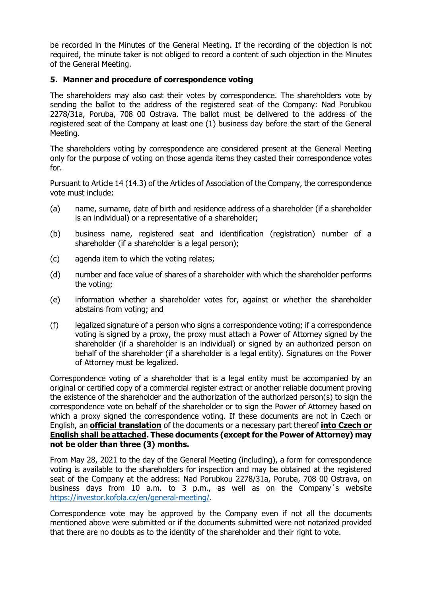be recorded in the Minutes of the General Meeting. If the recording of the objection is not required, the minute taker is not obliged to record a content of such objection in the Minutes of the General Meeting.

### **5. Manner and procedure of correspondence voting**

The shareholders may also cast their votes by correspondence. The shareholders vote by sending the ballot to the address of the registered seat of the Company: Nad Porubkou 2278/31a, Poruba, 708 00 Ostrava. The ballot must be delivered to the address of the registered seat of the Company at least one (1) business day before the start of the General Meeting.

The shareholders voting by correspondence are considered present at the General Meeting only for the purpose of voting on those agenda items they casted their correspondence votes for.

Pursuant to Article 14 (14.3) of the Articles of Association of the Company, the correspondence vote must include:

- (a) name, surname, date of birth and residence address of a shareholder (if a shareholder is an individual) or a representative of a shareholder;
- (b) business name, registered seat and identification (registration) number of a shareholder (if a shareholder is a legal person);
- (c) agenda item to which the voting relates;
- (d) number and face value of shares of a shareholder with which the shareholder performs the voting;
- (e) information whether a shareholder votes for, against or whether the shareholder abstains from voting; and
- (f) legalized signature of a person who signs a correspondence voting; if a correspondence voting is signed by a proxy, the proxy must attach a Power of Attorney signed by the shareholder (if a shareholder is an individual) or signed by an authorized person on behalf of the shareholder (if a shareholder is a legal entity). Signatures on the Power of Attorney must be legalized.

Correspondence voting of a shareholder that is a legal entity must be accompanied by an original or certified copy of a commercial register extract or another reliable document proving the existence of the shareholder and the authorization of the authorized person(s) to sign the correspondence vote on behalf of the shareholder or to sign the Power of Attorney based on which a proxy signed the correspondence voting. If these documents are not in Czech or English, an **official translation** of the documents or a necessary part thereof **into Czech or English shall be attached. These documents (except for the Power of Attorney) may not be older than three (3) months.**

From May 28, 2021 to the day of the General Meeting (including), a form for correspondence voting is available to the shareholders for inspection and may be obtained at the registered seat of the Company at the address: Nad Porubkou 2278/31a, Poruba, 708 00 Ostrava, on business days from 10 a.m. to 3 p.m., as well as on the Company´s website [https://investor.kofola.cz/en/general-meeting/.](https://investor.kofola.cz/en/general-meeting/)

Correspondence vote may be approved by the Company even if not all the documents mentioned above were submitted or if the documents submitted were not notarized provided that there are no doubts as to the identity of the shareholder and their right to vote.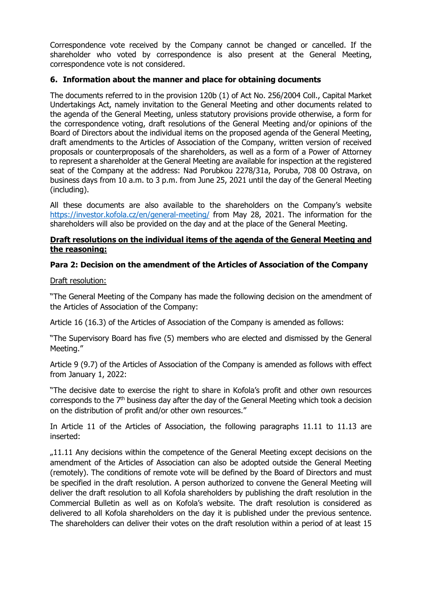Correspondence vote received by the Company cannot be changed or cancelled. If the shareholder who voted by correspondence is also present at the General Meeting, correspondence vote is not considered.

## **6. Information about the manner and place for obtaining documents**

The documents referred to in the provision 120b (1) of Act No. 256/2004 Coll., Capital Market Undertakings Act, namely invitation to the General Meeting and other documents related to the agenda of the General Meeting, unless statutory provisions provide otherwise, a form for the correspondence voting, draft resolutions of the General Meeting and/or opinions of the Board of Directors about the individual items on the proposed agenda of the General Meeting, draft amendments to the Articles of Association of the Company, written version of received proposals or counterproposals of the shareholders, as well as a form of a Power of Attorney to represent a shareholder at the General Meeting are available for inspection at the registered seat of the Company at the address: Nad Porubkou 2278/31a, Poruba, 708 00 Ostrava, on business days from 10 a.m. to 3 p.m. from June 25, 2021 until the day of the General Meeting (including).

All these documents are also available to the shareholders on the Company's website <https://investor.kofola.cz/en/general-meeting/> from May 28, 2021. The information for the shareholders will also be provided on the day and at the place of the General Meeting.

#### **Draft resolutions on the individual items of the agenda of the General Meeting and the reasoning:**

### **Para 2: Decision on the amendment of the Articles of Association of the Company**

Draft resolution:

"The General Meeting of the Company has made the following decision on the amendment of the Articles of Association of the Company:

Article 16 (16.3) of the Articles of Association of the Company is amended as follows:

"The Supervisory Board has five (5) members who are elected and dismissed by the General Meeting."

Article 9 (9.7) of the Articles of Association of the Company is amended as follows with effect from January 1, 2022:

"The decisive date to exercise the right to share in Kofola's profit and other own resources corresponds to the  $7<sup>th</sup>$  business day after the day of the General Meeting which took a decision on the distribution of profit and/or other own resources."

In Article 11 of the Articles of Association, the following paragraphs 11.11 to 11.13 are inserted:

"11.11 Any decisions within the competence of the General Meeting except decisions on the amendment of the Articles of Association can also be adopted outside the General Meeting (remotely). The conditions of remote vote will be defined by the Board of Directors and must be specified in the draft resolution. A person authorized to convene the General Meeting will deliver the draft resolution to all Kofola shareholders by publishing the draft resolution in the Commercial Bulletin as well as on Kofola's website. The draft resolution is considered as delivered to all Kofola shareholders on the day it is published under the previous sentence. The shareholders can deliver their votes on the draft resolution within a period of at least 15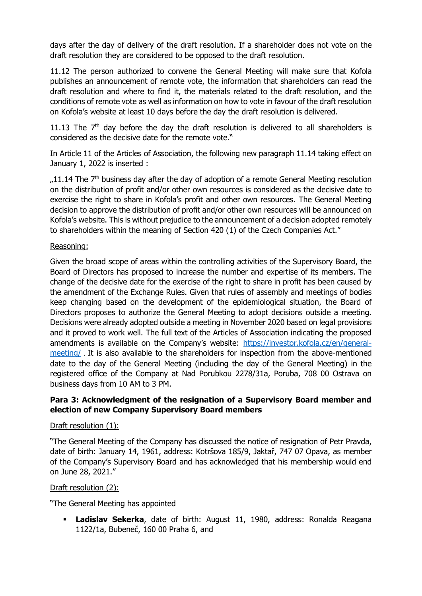days after the day of delivery of the draft resolution. If a shareholder does not vote on the draft resolution they are considered to be opposed to the draft resolution.

11.12 The person authorized to convene the General Meeting will make sure that Kofola publishes an announcement of remote vote, the information that shareholders can read the draft resolution and where to find it, the materials related to the draft resolution, and the conditions of remote vote as well as information on how to vote in favour of the draft resolution on Kofola's website at least 10 days before the day the draft resolution is delivered.

11.13 The  $7<sup>th</sup>$  day before the day the draft resolution is delivered to all shareholders is considered as the decisive date for the remote vote."

In Article 11 of the Articles of Association, the following new paragraph 11.14 taking effect on January 1, 2022 is inserted :

 $11.14$  The  $7<sup>th</sup>$  business day after the day of adoption of a remote General Meeting resolution on the distribution of profit and/or other own resources is considered as the decisive date to exercise the right to share in Kofola's profit and other own resources. The General Meeting decision to approve the distribution of profit and/or other own resources will be announced on Kofola's website. This is without prejudice to the announcement of a decision adopted remotely to shareholders within the meaning of Section 420 (1) of the Czech Companies Act."

### Reasoning:

Given the broad scope of areas within the controlling activities of the Supervisory Board, the Board of Directors has proposed to increase the number and expertise of its members. The change of the decisive date for the exercise of the right to share in profit has been caused by the amendment of the Exchange Rules. Given that rules of assembly and meetings of bodies keep changing based on the development of the epidemiological situation, the Board of Directors proposes to authorize the General Meeting to adopt decisions outside a meeting. Decisions were already adopted outside a meeting in November 2020 based on legal provisions and it proved to work well. The full text of the Articles of Association indicating the proposed amendments is available on the Company's website: [https://investor.kofola.cz/en/general](https://investor.kofola.cz/en/general-meeting/)[meeting/](https://investor.kofola.cz/en/general-meeting/) . It is also available to the shareholders for inspection from the above-mentioned date to the day of the General Meeting (including the day of the General Meeting) in the registered office of the Company at Nad Porubkou 2278/31a, Poruba, 708 00 Ostrava on business days from 10 AM to 3 PM.

# **Para 3: Acknowledgment of the resignation of a Supervisory Board member and election of new Company Supervisory Board members**

## Draft resolution (1):

"The General Meeting of the Company has discussed the notice of resignation of Petr Pravda, date of birth: January 14, 1961, address: Kotršova 185/9, Jaktař, 747 07 Opava, as member of the Company's Supervisory Board and has acknowledged that his membership would end on June 28, 2021."

## Draft resolution (2):

"The General Meeting has appointed

▪ **Ladislav Sekerka**, date of birth: August 11, 1980, address: Ronalda Reagana 1122/1a, Bubeneč, 160 00 Praha 6, and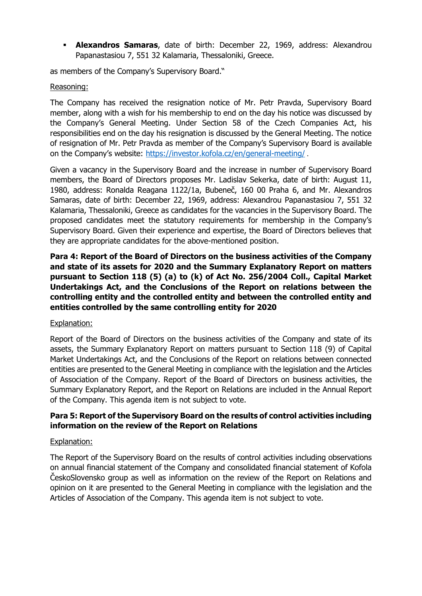▪ **Alexandros Samaras**, date of birth: December 22, 1969, address: Alexandrou Papanastasiou 7, 551 32 Kalamaria, Thessaloniki, Greece.

as members of the Company's Supervisory Board."

## Reasoning:

The Company has received the resignation notice of Mr. Petr Pravda, Supervisory Board member, along with a wish for his membership to end on the day his notice was discussed by the Company's General Meeting. Under Section 58 of the Czech Companies Act, his responsibilities end on the day his resignation is discussed by the General Meeting. The notice of resignation of Mr. Petr Pravda as member of the Company's Supervisory Board is available on the Company's website:<https://investor.kofola.cz/en/general-meeting/> .

Given a vacancy in the Supervisory Board and the increase in number of Supervisory Board members, the Board of Directors proposes Mr. Ladislav Sekerka, date of birth: August 11, 1980, address: Ronalda Reagana 1122/1a, Bubeneč, 160 00 Praha 6, and Mr. Alexandros Samaras, date of birth: December 22, 1969, address: Alexandrou Papanastasiou 7, 551 32 Kalamaria, Thessaloniki, Greece as candidates for the vacancies in the Supervisory Board. The proposed candidates meet the statutory requirements for membership in the Company's Supervisory Board. Given their experience and expertise, the Board of Directors believes that they are appropriate candidates for the above-mentioned position.

**Para 4: Report of the Board of Directors on the business activities of the Company and state of its assets for 2020 and the Summary Explanatory Report on matters pursuant to Section 118 (5) (a) to (k) of Act No. 256/2004 Coll., Capital Market Undertakings Act, and the Conclusions of the Report on relations between the controlling entity and the controlled entity and between the controlled entity and entities controlled by the same controlling entity for 2020**

#### Explanation:

Report of the Board of Directors on the business activities of the Company and state of its assets, the Summary Explanatory Report on matters pursuant to Section 118 (9) of Capital Market Undertakings Act, and the Conclusions of the Report on relations between connected entities are presented to the General Meeting in compliance with the legislation and the Articles of Association of the Company. Report of the Board of Directors on business activities, the Summary Explanatory Report, and the Report on Relations are included in the Annual Report of the Company. This agenda item is not subject to vote.

## **Para 5: Report of the Supervisory Board on the results of control activities including information on the review of the Report on Relations**

#### Explanation:

The Report of the Supervisory Board on the results of control activities including observations on annual financial statement of the Company and consolidated financial statement of Kofola ČeskoSlovensko group as well as information on the review of the Report on Relations and opinion on it are presented to the General Meeting in compliance with the legislation and the Articles of Association of the Company. This agenda item is not subject to vote.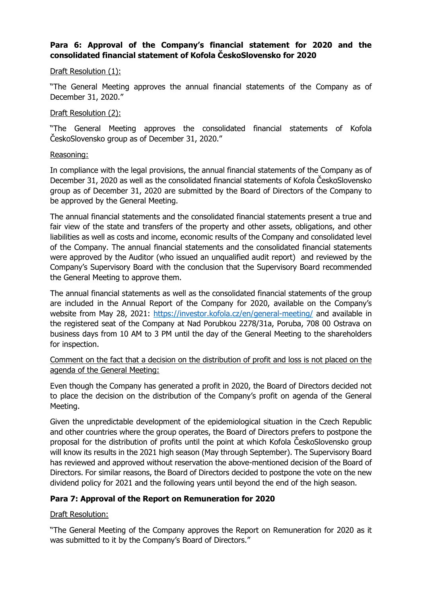## **Para 6: Approval of the Company's financial statement for 2020 and the consolidated financial statement of Kofola ČeskoSlovensko for 2020**

### Draft Resolution (1):

"The General Meeting approves the annual financial statements of the Company as of December 31, 2020."

### Draft Resolution (2):

"The General Meeting approves the consolidated financial statements of Kofola ČeskoSlovensko group as of December 31, 2020."

#### Reasoning:

In compliance with the legal provisions, the annual financial statements of the Company as of December 31, 2020 as well as the consolidated financial statements of Kofola ČeskoSlovensko group as of December 31, 2020 are submitted by the Board of Directors of the Company to be approved by the General Meeting.

The annual financial statements and the consolidated financial statements present a true and fair view of the state and transfers of the property and other assets, obligations, and other liabilities as well as costs and income, economic results of the Company and consolidated level of the Company. The annual financial statements and the consolidated financial statements were approved by the Auditor (who issued an unqualified audit report) and reviewed by the Company's Supervisory Board with the conclusion that the Supervisory Board recommended the General Meeting to approve them.

The annual financial statements as well as the consolidated financial statements of the group are included in the Annual Report of the Company for 2020, available on the Company's website from May 28, 2021:<https://investor.kofola.cz/en/general-meeting/> and available in the registered seat of the Company at Nad Porubkou 2278/31a, Poruba, 708 00 Ostrava on business days from 10 AM to 3 PM until the day of the General Meeting to the shareholders for inspection.

Comment on the fact that a decision on the distribution of profit and loss is not placed on the agenda of the General Meeting:

Even though the Company has generated a profit in 2020, the Board of Directors decided not to place the decision on the distribution of the Company's profit on agenda of the General Meeting.

Given the unpredictable development of the epidemiological situation in the Czech Republic and other countries where the group operates, the Board of Directors prefers to postpone the proposal for the distribution of profits until the point at which Kofola ČeskoSlovensko group will know its results in the 2021 high season (May through September). The Supervisory Board has reviewed and approved without reservation the above-mentioned decision of the Board of Directors. For similar reasons, the Board of Directors decided to postpone the vote on the new dividend policy for 2021 and the following years until beyond the end of the high season.

## **Para 7: Approval of the Report on Remuneration for 2020**

## Draft Resolution:

"The General Meeting of the Company approves the Report on Remuneration for 2020 as it was submitted to it by the Company's Board of Directors."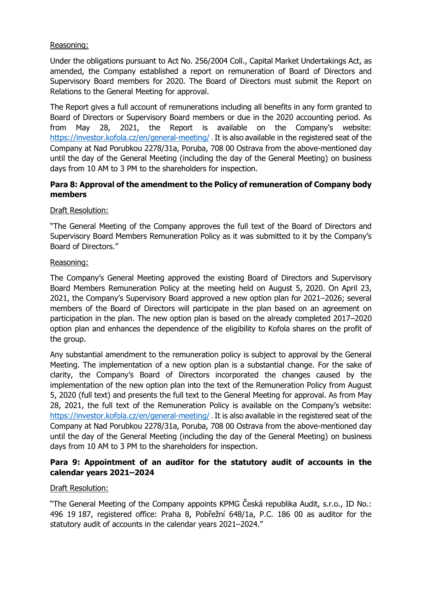## Reasoning:

Under the obligations pursuant to Act No. 256/2004 Coll., Capital Market Undertakings Act, as amended, the Company established a report on remuneration of Board of Directors and Supervisory Board members for 2020. The Board of Directors must submit the Report on Relations to the General Meeting for approval.

The Report gives a full account of remunerations including all benefits in any form granted to Board of Directors or Supervisory Board members or due in the 2020 accounting period. As from May 28, 2021, the Report is available on the Company's website: <https://investor.kofola.cz/en/general-meeting/>. It is also available in the registered seat of the Company at Nad Porubkou 2278/31a, Poruba, 708 00 Ostrava from the above-mentioned day until the day of the General Meeting (including the day of the General Meeting) on business days from 10 AM to 3 PM to the shareholders for inspection.

## **Para 8: Approval of the amendment to the Policy of remuneration of Company body members**

### Draft Resolution:

"The General Meeting of the Company approves the full text of the Board of Directors and Supervisory Board Members Remuneration Policy as it was submitted to it by the Company's Board of Directors."

#### Reasoning:

The Company's General Meeting approved the existing Board of Directors and Supervisory Board Members Remuneration Policy at the meeting held on August 5, 2020. On April 23, 2021, the Company's Supervisory Board approved a new option plan for 2021–2026; several members of the Board of Directors will participate in the plan based on an agreement on participation in the plan. The new option plan is based on the already completed 2017–2020 option plan and enhances the dependence of the eligibility to Kofola shares on the profit of the group.

Any substantial amendment to the remuneration policy is subject to approval by the General Meeting. The implementation of a new option plan is a substantial change. For the sake of clarity, the Company's Board of Directors incorporated the changes caused by the implementation of the new option plan into the text of the Remuneration Policy from August 5, 2020 (full text) and presents the full text to the General Meeting for approval. As from May 28, 2021, the full text of the Remuneration Policy is available on the Company's website: <https://investor.kofola.cz/en/general-meeting/>. It is also available in the registered seat of the Company at Nad Porubkou 2278/31a, Poruba, 708 00 Ostrava from the above-mentioned day until the day of the General Meeting (including the day of the General Meeting) on business days from 10 AM to 3 PM to the shareholders for inspection.

# **Para 9: Appointment of an auditor for the statutory audit of accounts in the calendar years 2021–2024**

## Draft Resolution:

"The General Meeting of the Company appoints KPMG Česká republika Audit, s.r.o., ID No.: 496 19 187, registered office: Praha 8, Pobřežní 648/1a, P.C. 186 00 as auditor for the statutory audit of accounts in the calendar years 2021–2024."